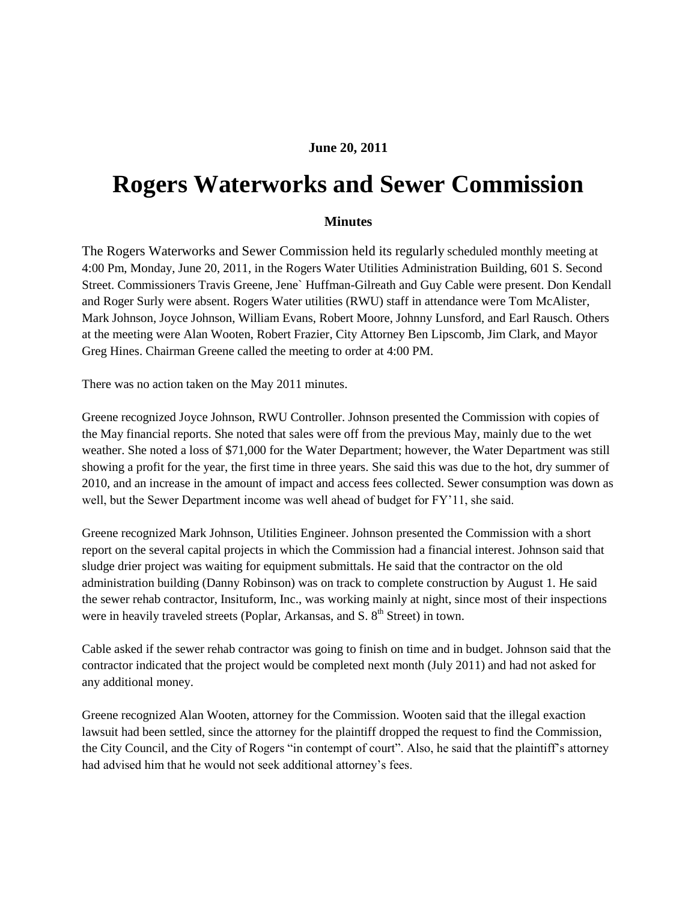## **June 20, 2011**

## **Rogers Waterworks and Sewer Commission**

## **Minutes**

The Rogers Waterworks and Sewer Commission held its regularly scheduled monthly meeting at 4:00 Pm, Monday, June 20, 2011, in the Rogers Water Utilities Administration Building, 601 S. Second Street. Commissioners Travis Greene, Jene` Huffman-Gilreath and Guy Cable were present. Don Kendall and Roger Surly were absent. Rogers Water utilities (RWU) staff in attendance were Tom McAlister, Mark Johnson, Joyce Johnson, William Evans, Robert Moore, Johnny Lunsford, and Earl Rausch. Others at the meeting were Alan Wooten, Robert Frazier, City Attorney Ben Lipscomb, Jim Clark, and Mayor Greg Hines. Chairman Greene called the meeting to order at 4:00 PM.

There was no action taken on the May 2011 minutes.

Greene recognized Joyce Johnson, RWU Controller. Johnson presented the Commission with copies of the May financial reports. She noted that sales were off from the previous May, mainly due to the wet weather. She noted a loss of \$71,000 for the Water Department; however, the Water Department was still showing a profit for the year, the first time in three years. She said this was due to the hot, dry summer of 2010, and an increase in the amount of impact and access fees collected. Sewer consumption was down as well, but the Sewer Department income was well ahead of budget for FY"11, she said.

Greene recognized Mark Johnson, Utilities Engineer. Johnson presented the Commission with a short report on the several capital projects in which the Commission had a financial interest. Johnson said that sludge drier project was waiting for equipment submittals. He said that the contractor on the old administration building (Danny Robinson) was on track to complete construction by August 1. He said the sewer rehab contractor, Insituform, Inc., was working mainly at night, since most of their inspections were in heavily traveled streets (Poplar, Arkansas, and  $S$ ,  $8<sup>th</sup>$  Street) in town.

Cable asked if the sewer rehab contractor was going to finish on time and in budget. Johnson said that the contractor indicated that the project would be completed next month (July 2011) and had not asked for any additional money.

Greene recognized Alan Wooten, attorney for the Commission. Wooten said that the illegal exaction lawsuit had been settled, since the attorney for the plaintiff dropped the request to find the Commission, the City Council, and the City of Rogers "in contempt of court". Also, he said that the plaintiff"s attorney had advised him that he would not seek additional attorney"s fees.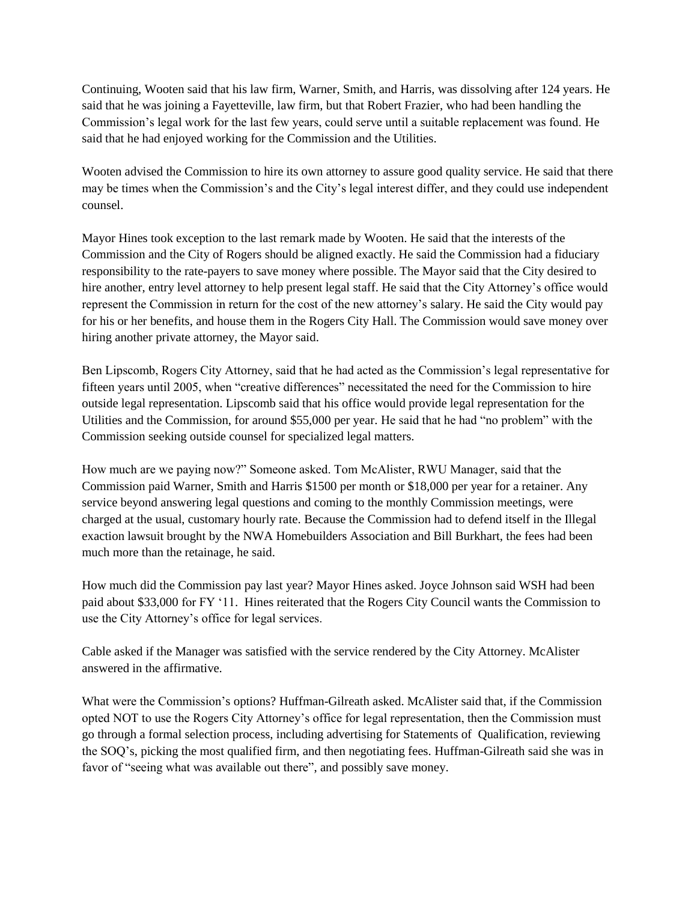Continuing, Wooten said that his law firm, Warner, Smith, and Harris, was dissolving after 124 years. He said that he was joining a Fayetteville, law firm, but that Robert Frazier, who had been handling the Commission"s legal work for the last few years, could serve until a suitable replacement was found. He said that he had enjoyed working for the Commission and the Utilities.

Wooten advised the Commission to hire its own attorney to assure good quality service. He said that there may be times when the Commission"s and the City"s legal interest differ, and they could use independent counsel.

Mayor Hines took exception to the last remark made by Wooten. He said that the interests of the Commission and the City of Rogers should be aligned exactly. He said the Commission had a fiduciary responsibility to the rate-payers to save money where possible. The Mayor said that the City desired to hire another, entry level attorney to help present legal staff. He said that the City Attorney's office would represent the Commission in return for the cost of the new attorney"s salary. He said the City would pay for his or her benefits, and house them in the Rogers City Hall. The Commission would save money over hiring another private attorney, the Mayor said.

Ben Lipscomb, Rogers City Attorney, said that he had acted as the Commission"s legal representative for fifteen years until 2005, when "creative differences" necessitated the need for the Commission to hire outside legal representation. Lipscomb said that his office would provide legal representation for the Utilities and the Commission, for around \$55,000 per year. He said that he had "no problem" with the Commission seeking outside counsel for specialized legal matters.

How much are we paying now?" Someone asked. Tom McAlister, RWU Manager, said that the Commission paid Warner, Smith and Harris \$1500 per month or \$18,000 per year for a retainer. Any service beyond answering legal questions and coming to the monthly Commission meetings, were charged at the usual, customary hourly rate. Because the Commission had to defend itself in the Illegal exaction lawsuit brought by the NWA Homebuilders Association and Bill Burkhart, the fees had been much more than the retainage, he said.

How much did the Commission pay last year? Mayor Hines asked. Joyce Johnson said WSH had been paid about \$33,000 for FY "11. Hines reiterated that the Rogers City Council wants the Commission to use the City Attorney"s office for legal services.

Cable asked if the Manager was satisfied with the service rendered by the City Attorney. McAlister answered in the affirmative.

What were the Commission"s options? Huffman-Gilreath asked. McAlister said that, if the Commission opted NOT to use the Rogers City Attorney"s office for legal representation, then the Commission must go through a formal selection process, including advertising for Statements of Qualification, reviewing the SOQ"s, picking the most qualified firm, and then negotiating fees. Huffman-Gilreath said she was in favor of "seeing what was available out there", and possibly save money.